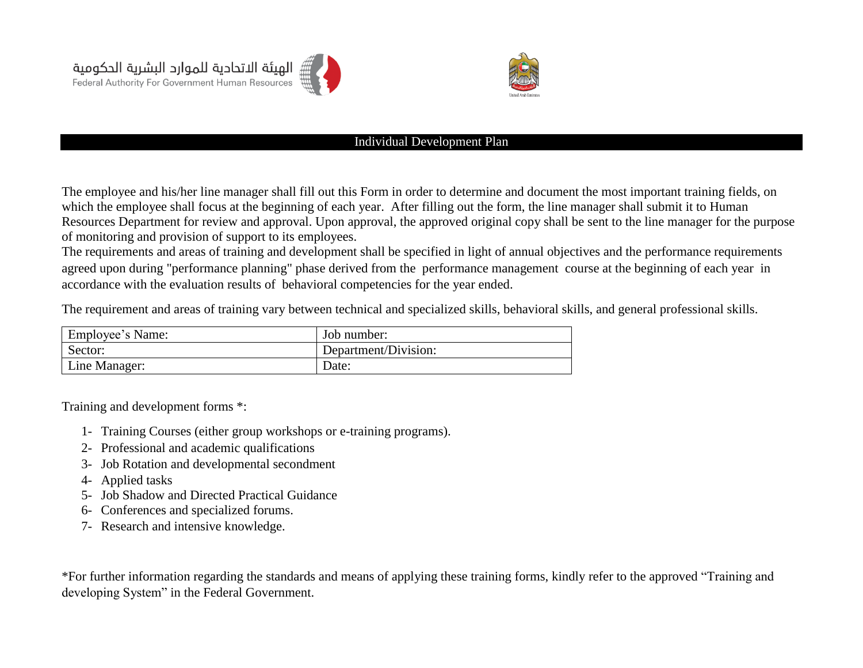



## Individual Development Plan

The employee and his/her line manager shall fill out this Form in order to determine and document the most important training fields, on which the employee shall focus at the [beginning of each year.](http://context.reverso.net/translation/english-arabic/beginning+of+each+year) After filling out the form, the line manager shall submit it to Human Resources Department for review and approval. Upon approval, the approved original copy shall be sent to the line manager for the purpose of monitoring and provision of support to its employees.

The requirements and areas of training and development shall be specified in light of annual objectives and the [performance requirements](http://context.reverso.net/translation/english-arabic/and+performance+requirements) agreed upon during "performance planning" phase derived from the [performance management course](http://context.reverso.net/translation/english-arabic/performance+management+cycle) at the [beginning of each year](http://context.reverso.net/translation/english-arabic/beginning+of+each+year) in accordance with the evaluation results of behavioral [competencies](http://context.reverso.net/translation/english-arabic/behavioural+competencies) [for the year ended.](http://context.reverso.net/translation/english-arabic/for+the+year+ended)

The requirement and areas of training vary between technical and specialized skills, behavioral skills, and general professional skills.

| Employee's Name: | Job number:          |
|------------------|----------------------|
| Sector:          | Department/Division: |
| Line Manager:    | Date:                |

Training and development forms \*:

- 1- Training Courses (either group workshops or e-training programs).
- 2- Professional and academic qualifications
- 3- Job Rotation and developmental secondment
- 4- Applied tasks
- 5- Job Shadow and Directed Practical Guidance
- 6- Conferences and specialized forums.
- 7- Research and intensive knowledge.

\*For further information regarding the standards and means of applying these training forms, kindly refer to the approved "Training and developing System" in the Federal Government.